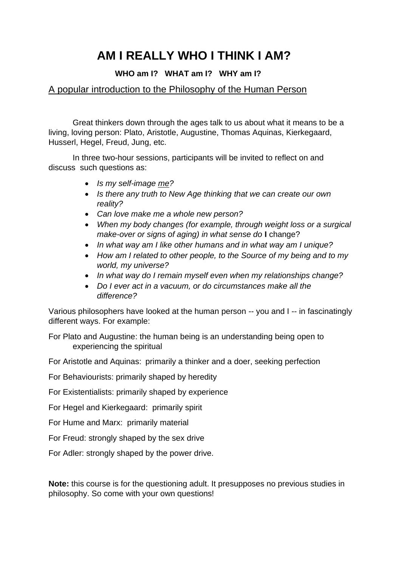## **AM I REALLY WHO I THINK I AM?**

## **WHO am I? WHAT am I? WHY am I?**

## A popular introduction to the Philosophy of the Human Person

Great thinkers down through the ages talk to us about what it means to be a living, loving person: Plato, Aristotle, Augustine, Thomas Aquinas, Kierkegaard, Husserl, Hegel, Freud, Jung, etc.

In three two-hour sessions, participants will be invited to reflect on and discuss such questions as:

- *Is my self-image me?*
- *Is there any truth to New Age thinking that we can create our own reality?*
- *Can love make me a whole new person?*
- *When my body changes (for example, through weight loss or a surgical make-over or signs of aging) in what sense do* **I** change?
- *In what way am I like other humans and in what way am I unique?*
- *How am I related to other people, to the Source of my being and to my world, my universe?*
- *In what way do I remain myself even when my relationships change?*
- *Do I ever act in a vacuum, or do circumstances make all the difference?*

Various philosophers have looked at the human person -- you and I -- in fascinatingly different ways. For example:

For Plato and Augustine: the human being is an understanding being open to experiencing the spiritual

For Aristotle and Aquinas: primarily a thinker and a doer, seeking perfection

For Behaviourists: primarily shaped by heredity

For Existentialists: primarily shaped by experience

For Hegel and Kierkegaard: primarily spirit

For Hume and Marx: primarily material

For Freud: strongly shaped by the sex drive

For Adler: strongly shaped by the power drive.

**Note:** this course is for the questioning adult. It presupposes no previous studies in philosophy. So come with your own questions!